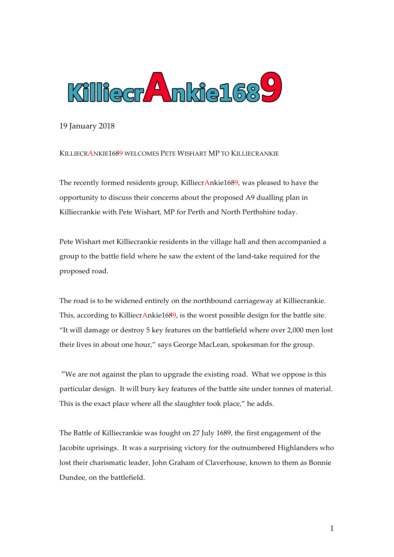

19 January 2018

## KILLIECRANKIE1689 WELCOMES PETE WISHART MP TO KILLIECRANKIE

The recently formed residents group, KilliecrAnkie1689, was pleased to have the opportunity to discuss their concerns about the proposed A9 dualling plan in Killiecrankie with Pete Wishart, MP for Perth and North Perthshire today.

Pete Wishart met Killiecrankie residents in the village hall and then accompanied a group to the battle field where he saw the extent of the land-take required for the proposed road.

The road is to be widened entirely on the northbound carriageway at Killiecrankie. This, according to KilliecrAnkie1689, is the worst possible design for the battle site. "It will damage or destroy 5 key features on the battlefield where over 2,000 men lost their lives in about one hour," says George MacLean, spokesman for the group.

"We are not against the plan to upgrade the existing road. What we oppose is this particular design. It will bury key features of the battle site under tonnes of material. This is the exact place where all the slaughter took place," he adds.

The Battle of Killiecrankie was fought on 27 July 1689, the first engagement of the Jacobite uprisings. It was a surprising victory for the outnumbered Highlanders who lost their charismatic leader, John Graham of Claverhouse, known to them as Bonnie Dundee, on the battlefield.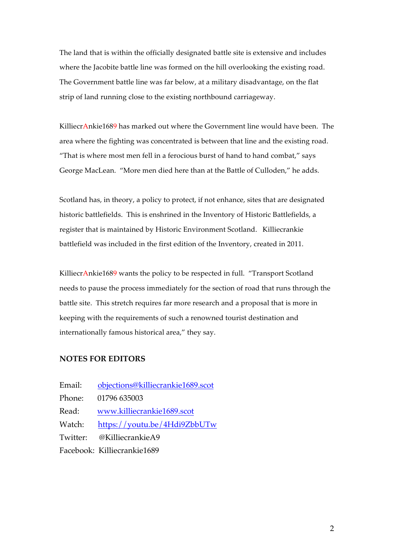The land that is within the officially designated battle site is extensive and includes where the Jacobite battle line was formed on the hill overlooking the existing road. The Government battle line was far below, at a military disadvantage, on the flat strip of land running close to the existing northbound carriageway.

KilliecrAnkie1689 has marked out where the Government line would have been. The area where the fighting was concentrated is between that line and the existing road. "That is where most men fell in a ferocious burst of hand to hand combat," says George MacLean. "More men died here than at the Battle of Culloden," he adds.

Scotland has, in theory, a policy to protect, if not enhance, sites that are designated historic battlefields. This is enshrined in the Inventory of Historic Battlefields, a register that is maintained by Historic Environment Scotland. Killiecrankie battlefield was included in the first edition of the Inventory, created in 2011.

KilliecrAnkie1689 wants the policy to be respected in full. "Transport Scotland needs to pause the process immediately for the section of road that runs through the battle site. This stretch requires far more research and a proposal that is more in keeping with the requirements of such a renowned tourist destination and internationally famous historical area," they say.

## **NOTES FOR EDITORS**

Email: objections@killiecrankie1689.scot Phone: 01796 635003 Read: www.killiecrankie1689.scot Watch: https://youtu.be/4Hdi9ZbbUTw Twitter: @KilliecrankieA9 Facebook: Killiecrankie1689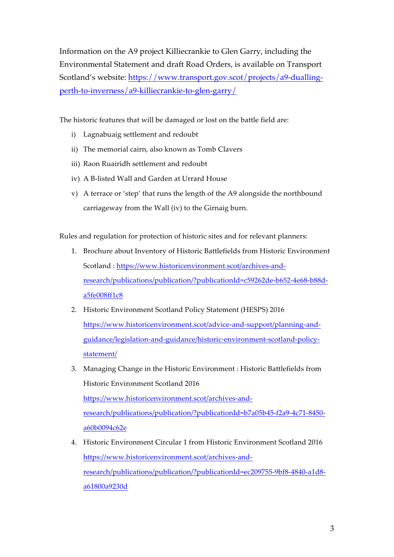Information on the A9 project Killiecrankie to Glen Garry, including the Environmental Statement and draft Road Orders, is available on Transport Scotland's website: https://www.transport.gov.scot/projects/a9-duallingperth-to-inverness/a9-killiecrankie-to-glen-garry/

The historic features that will be damaged or lost on the battle field are:

- i) Lagnabuaig settlement and redoubt
- ii) The memorial cairn, also known as Tomb Clavers
- iii) Raon Ruairidh settlement and redoubt
- iv) A B-listed Wall and Garden at Urrard House
- v) A terrace or 'step' that runs the length of the A9 alongside the northbound carriageway from the Wall (iv) to the Girnaig burn.

Rules and regulation for protection of historic sites and for relevant planners:

- 1. Brochure about Inventory of Historic Battlefields from Historic Environment Scotland : https://www.historicenvironment.scot/archives-andresearch/publications/publication/?publicationId=c59262de-b652-4e68-b88da5fe008ff1c8
- 2. Historic Environment Scotland Policy Statement (HESPS) 2016 https://www.historicenvironment.scot/advice-and-support/planning-andguidance/legislation-and-guidance/historic-environment-scotland-policystatement/
- 3. Managing Change in the Historic Environment : Historic Battlefields from Historic Environment Scotland 2016 https://www.historicenvironment.scot/archives-andresearch/publications/publication/?publicationId=b7a05b45-f2a9-4c71-8450 a60b0094c62e
- 4. Historic Environment Circular 1 from Historic Environment Scotland 2016 https://www.historicenvironment.scot/archives-andresearch/publications/publication/?publicationId=ec209755-9bf8-4840-a1d8 a61800a9230d